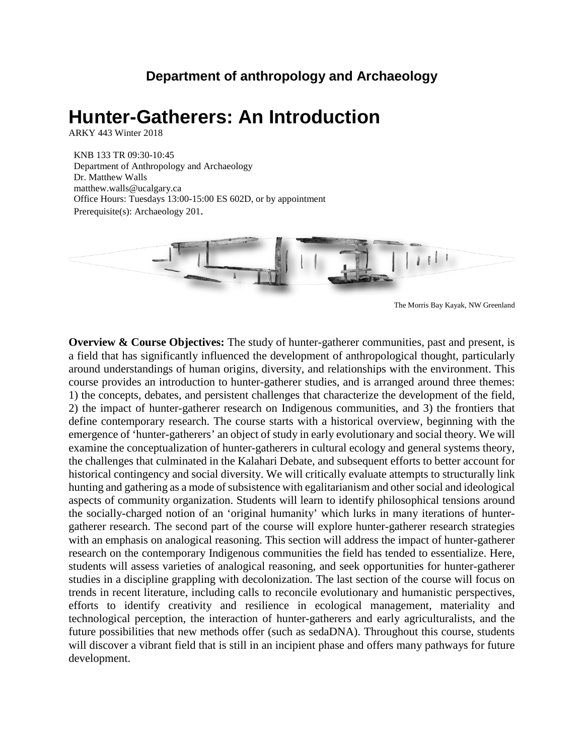## **Department of anthropology and Archaeology**

# **Hunter-Gatherers: An Introduction**

ARKY 443 Winter 2018

KNB 133 TR 09:30-10:45 Department of Anthropology and Archaeology Dr. Matthew Walls matthew.walls@ucalgary.ca Office Hours: Tuesdays 13:00-15:00 ES 602D, or by appointment Prerequisite(s): Archaeology 201.



The Morris Bay Kayak, NW Greenland

**Overview & Course Objectives:** The study of hunter-gatherer communities, past and present, is a field that has significantly influenced the development of anthropological thought, particularly around understandings of human origins, diversity, and relationships with the environment. This course provides an introduction to hunter-gatherer studies, and is arranged around three themes: 1) the concepts, debates, and persistent challenges that characterize the development of the field, 2) the impact of hunter-gatherer research on Indigenous communities, and 3) the frontiers that define contemporary research. The course starts with a historical overview, beginning with the emergence of 'hunter-gatherers' an object of study in early evolutionary and social theory. We will examine the conceptualization of hunter-gatherers in cultural ecology and general systems theory, the challenges that culminated in the Kalahari Debate, and subsequent efforts to better account for historical contingency and social diversity. We will critically evaluate attempts to structurally link hunting and gathering as a mode of subsistence with egalitarianism and other social and ideological aspects of community organization. Students will learn to identify philosophical tensions around the socially-charged notion of an 'original humanity' which lurks in many iterations of huntergatherer research. The second part of the course will explore hunter-gatherer research strategies with an emphasis on analogical reasoning. This section will address the impact of hunter-gatherer research on the contemporary Indigenous communities the field has tended to essentialize. Here, students will assess varieties of analogical reasoning, and seek opportunities for hunter-gatherer studies in a discipline grappling with decolonization. The last section of the course will focus on trends in recent literature, including calls to reconcile evolutionary and humanistic perspectives, efforts to identify creativity and resilience in ecological management, materiality and technological perception, the interaction of hunter-gatherers and early agriculturalists, and the future possibilities that new methods offer (such as sedaDNA). Throughout this course, students will discover a vibrant field that is still in an incipient phase and offers many pathways for future development.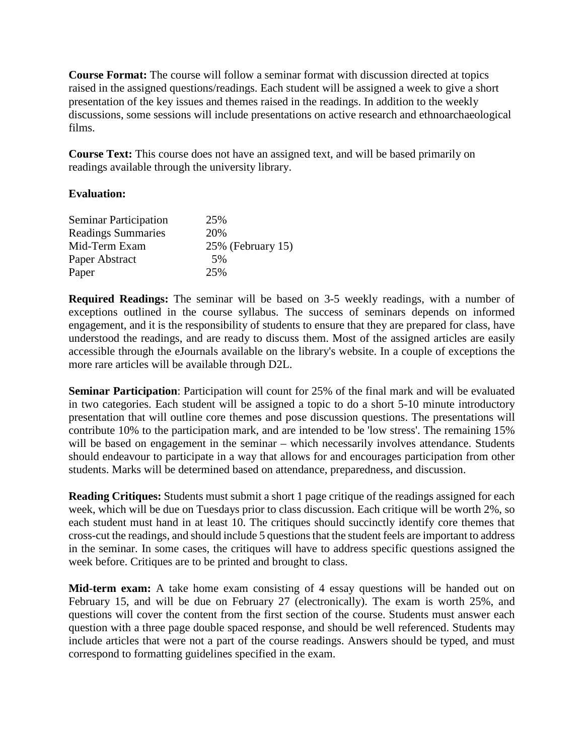**Course Format:** The course will follow a seminar format with discussion directed at topics raised in the assigned questions/readings. Each student will be assigned a week to give a short presentation of the key issues and themes raised in the readings. In addition to the weekly discussions, some sessions will include presentations on active research and ethnoarchaeological films.

**Course Text:** This course does not have an assigned text, and will be based primarily on readings available through the university library.

#### **Evaluation:**

| <b>Seminar Participation</b> | 25%               |
|------------------------------|-------------------|
| <b>Readings Summaries</b>    | 20%               |
| Mid-Term Exam                | 25% (February 15) |
| Paper Abstract               | 5%                |
| Paper                        | 25%               |

**Required Readings:** The seminar will be based on 3-5 weekly readings, with a number of exceptions outlined in the course syllabus. The success of seminars depends on informed engagement, and it is the responsibility of students to ensure that they are prepared for class, have understood the readings, and are ready to discuss them. Most of the assigned articles are easily accessible through the eJournals available on the library's website. In a couple of exceptions the more rare articles will be available through D2L.

**Seminar Participation**: Participation will count for 25% of the final mark and will be evaluated in two categories. Each student will be assigned a topic to do a short 5-10 minute introductory presentation that will outline core themes and pose discussion questions. The presentations will contribute 10% to the participation mark, and are intended to be 'low stress'. The remaining 15% will be based on engagement in the seminar – which necessarily involves attendance. Students should endeavour to participate in a way that allows for and encourages participation from other students. Marks will be determined based on attendance, preparedness, and discussion.

**Reading Critiques:** Students must submit a short 1 page critique of the readings assigned for each week, which will be due on Tuesdays prior to class discussion. Each critique will be worth 2%, so each student must hand in at least 10. The critiques should succinctly identify core themes that cross-cut the readings, and should include 5 questions that the student feels are important to address in the seminar. In some cases, the critiques will have to address specific questions assigned the week before. Critiques are to be printed and brought to class.

**Mid-term exam:** A take home exam consisting of 4 essay questions will be handed out on February 15, and will be due on February 27 (electronically). The exam is worth 25%, and questions will cover the content from the first section of the course. Students must answer each question with a three page double spaced response, and should be well referenced. Students may include articles that were not a part of the course readings. Answers should be typed, and must correspond to formatting guidelines specified in the exam.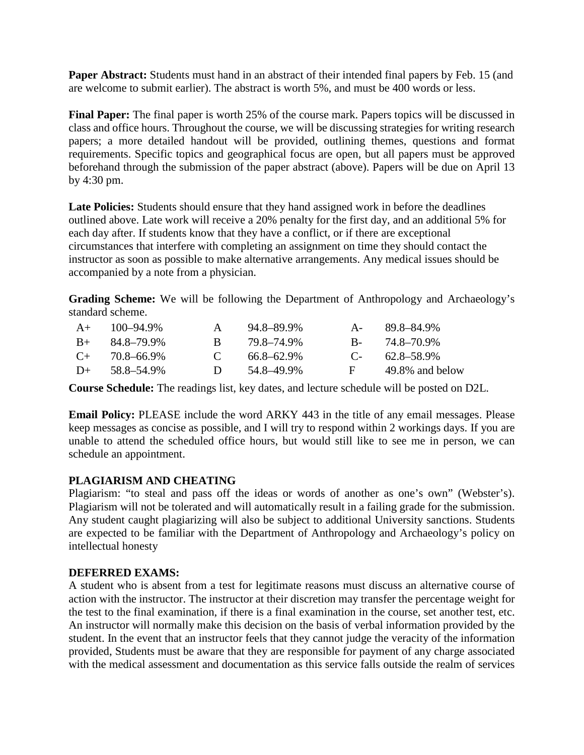**Paper Abstract:** Students must hand in an abstract of their intended final papers by Feb. 15 (and are welcome to submit earlier). The abstract is worth 5%, and must be 400 words or less.

**Final Paper:** The final paper is worth 25% of the course mark. Papers topics will be discussed in class and office hours. Throughout the course, we will be discussing strategies for writing research papers; a more detailed handout will be provided, outlining themes, questions and format requirements. Specific topics and geographical focus are open, but all papers must be approved beforehand through the submission of the paper abstract (above). Papers will be due on April 13 by 4:30 pm.

Late Policies: Students should ensure that they hand assigned work in before the deadlines outlined above. Late work will receive a 20% penalty for the first day, and an additional 5% for each day after. If students know that they have a conflict, or if there are exceptional circumstances that interfere with completing an assignment on time they should contact the instructor as soon as possible to make alternative arrangements. Any medical issues should be accompanied by a note from a physician.

**Grading Scheme:** We will be following the Department of Anthropology and Archaeology's standard scheme.

| $A+$  | 100–94.9%  | $\mathsf{A}$ | 94.8–89.9%      | $A -$                     | 89.8–84.9%      |
|-------|------------|--------------|-----------------|---------------------------|-----------------|
| $B+$  | 84.8–79.9% | R.           | 79.8–74.9%      | $R_{\rm{m}}$              | 74.8–70.9%      |
| $($ + | 70.8–66.9% | $\mathbf{C}$ | $66.8 - 62.9\%$ | $\mathbb{C}$ $\mathbb{C}$ | 62.8–58.9%      |
| $D+$  | 58.8–54.9% | $\mathbf{D}$ | 54.8–49.9%      | <b>H</b> +                | 49.8% and below |

**Course Schedule:** The readings list, key dates, and lecture schedule will be posted on D2L.

**Email Policy:** PLEASE include the word ARKY 443 in the title of any email messages. Please keep messages as concise as possible, and I will try to respond within 2 workings days. If you are unable to attend the scheduled office hours, but would still like to see me in person, we can schedule an appointment.

#### **PLAGIARISM AND CHEATING**

Plagiarism: "to steal and pass off the ideas or words of another as one's own" (Webster's). Plagiarism will not be tolerated and will automatically result in a failing grade for the submission. Any student caught plagiarizing will also be subject to additional University sanctions. Students are expected to be familiar with the Department of Anthropology and Archaeology's policy on intellectual honesty

#### **DEFERRED EXAMS:**

A student who is absent from a test for legitimate reasons must discuss an alternative course of action with the instructor. The instructor at their discretion may transfer the percentage weight for the test to the final examination, if there is a final examination in the course, set another test, etc. An instructor will normally make this decision on the basis of verbal information provided by the student. In the event that an instructor feels that they cannot judge the veracity of the information provided, Students must be aware that they are responsible for payment of any charge associated with the medical assessment and documentation as this service falls outside the realm of services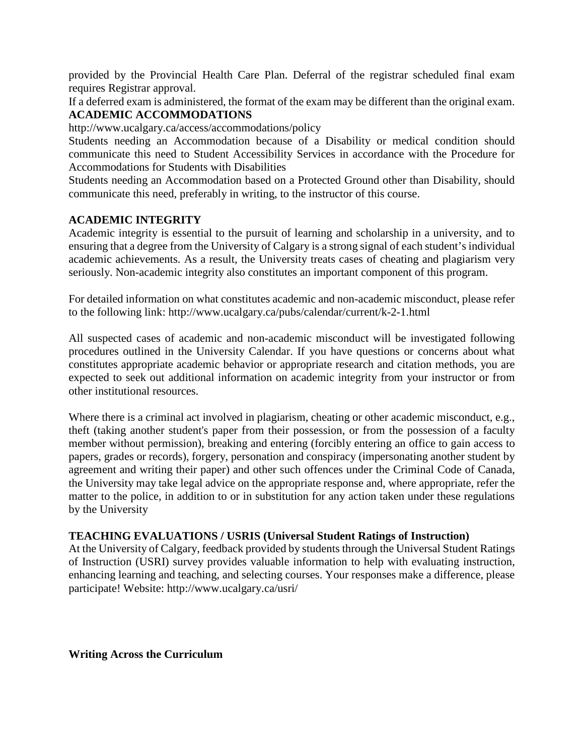provided by the Provincial Health Care Plan. Deferral of the registrar scheduled final exam requires Registrar approval.

If a deferred exam is administered, the format of the exam may be different than the original exam. **ACADEMIC ACCOMMODATIONS**

http://www.ucalgary.ca/access/accommodations/policy

Students needing an Accommodation because of a Disability or medical condition should communicate this need to Student Accessibility Services in accordance with the Procedure for Accommodations for Students with Disabilities

Students needing an Accommodation based on a Protected Ground other than Disability, should communicate this need, preferably in writing, to the instructor of this course.

### **ACADEMIC INTEGRITY**

Academic integrity is essential to the pursuit of learning and scholarship in a university, and to ensuring that a degree from the University of Calgary is a strong signal of each student's individual academic achievements. As a result, the University treats cases of cheating and plagiarism very seriously. Non-academic integrity also constitutes an important component of this program.

For detailed information on what constitutes academic and non-academic misconduct, please refer to the following link: http://www.ucalgary.ca/pubs/calendar/current/k-2-1.html

All suspected cases of academic and non-academic misconduct will be investigated following procedures outlined in the University Calendar. If you have questions or concerns about what constitutes appropriate academic behavior or appropriate research and citation methods, you are expected to seek out additional information on academic integrity from your instructor or from other institutional resources.

Where there is a criminal act involved in plagiarism, cheating or other academic misconduct, e.g., theft (taking another student's paper from their possession, or from the possession of a faculty member without permission), breaking and entering (forcibly entering an office to gain access to papers, grades or records), forgery, personation and conspiracy (impersonating another student by agreement and writing their paper) and other such offences under the Criminal Code of Canada, the University may take legal advice on the appropriate response and, where appropriate, refer the matter to the police, in addition to or in substitution for any action taken under these regulations by the University

#### **TEACHING EVALUATIONS / USRIS (Universal Student Ratings of Instruction)**

At the University of Calgary, feedback provided by students through the Universal Student Ratings of Instruction (USRI) survey provides valuable information to help with evaluating instruction, enhancing learning and teaching, and selecting courses. Your responses make a difference, please participate! Website: http://www.ucalgary.ca/usri/

**Writing Across the Curriculum**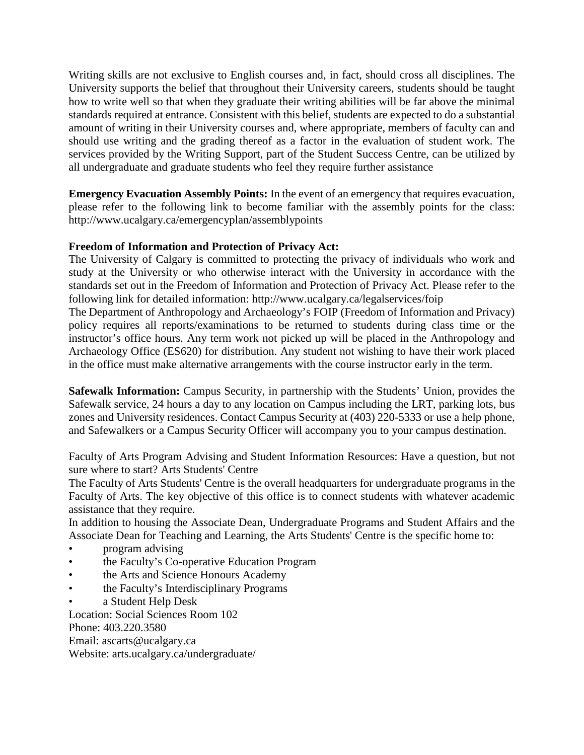Writing skills are not exclusive to English courses and, in fact, should cross all disciplines. The University supports the belief that throughout their University careers, students should be taught how to write well so that when they graduate their writing abilities will be far above the minimal standards required at entrance. Consistent with this belief, students are expected to do a substantial amount of writing in their University courses and, where appropriate, members of faculty can and should use writing and the grading thereof as a factor in the evaluation of student work. The services provided by the Writing Support, part of the Student Success Centre, can be utilized by all undergraduate and graduate students who feel they require further assistance

**Emergency Evacuation Assembly Points:** In the event of an emergency that requires evacuation, please refer to the following link to become familiar with the assembly points for the class: http://www.ucalgary.ca/emergencyplan/assemblypoints

#### **Freedom of Information and Protection of Privacy Act:**

The University of Calgary is committed to protecting the privacy of individuals who work and study at the University or who otherwise interact with the University in accordance with the standards set out in the Freedom of Information and Protection of Privacy Act. Please refer to the following link for detailed information: http://www.ucalgary.ca/legalservices/foip

The Department of Anthropology and Archaeology's FOIP (Freedom of Information and Privacy) policy requires all reports/examinations to be returned to students during class time or the instructor's office hours. Any term work not picked up will be placed in the Anthropology and Archaeology Office (ES620) for distribution. Any student not wishing to have their work placed in the office must make alternative arrangements with the course instructor early in the term.

**Safewalk Information:** Campus Security, in partnership with the Students' Union, provides the Safewalk service, 24 hours a day to any location on Campus including the LRT, parking lots, bus zones and University residences. Contact Campus Security at (403) 220-5333 or use a help phone, and Safewalkers or a Campus Security Officer will accompany you to your campus destination.

Faculty of Arts Program Advising and Student Information Resources: Have a question, but not sure where to start? Arts Students' Centre

The Faculty of Arts Students' Centre is the overall headquarters for undergraduate programs in the Faculty of Arts. The key objective of this office is to connect students with whatever academic assistance that they require.

In addition to housing the Associate Dean, Undergraduate Programs and Student Affairs and the Associate Dean for Teaching and Learning, the Arts Students' Centre is the specific home to:

- program advising
- the Faculty's Co-operative Education Program
- the Arts and Science Honours Academy
- the Faculty's Interdisciplinary Programs
- a Student Help Desk

Location: Social Sciences Room 102 Phone: 403.220.3580 Email: ascarts@ucalgary.ca Website: arts.ucalgary.ca/undergraduate/